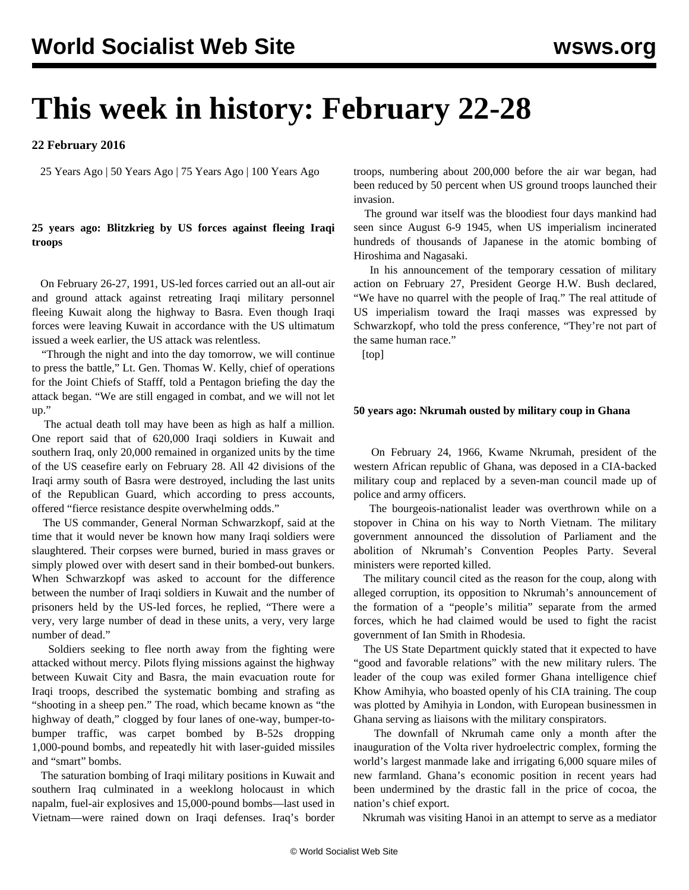# **This week in history: February 22-28**

## **22 February 2016**

25 Years Ago | 50 Years Ago | 75 Years Ago | 100 Years Ago

## **25 years ago: Blitzkrieg by US forces against fleeing Iraqi troops**

 On February 26-27, 1991, US-led forces carried out an all-out air and ground attack against retreating Iraqi military personnel fleeing Kuwait along the highway to Basra. Even though Iraqi forces were leaving Kuwait in accordance with the US ultimatum issued a week earlier, the US attack was relentless.

 "Through the night and into the day tomorrow, we will continue to press the battle," Lt. Gen. Thomas W. Kelly, chief of operations for the Joint Chiefs of Stafff, told a Pentagon briefing the day the attack began. "We are still engaged in combat, and we will not let up."

 The actual death toll may have been as high as half a million. One report said that of 620,000 Iraqi soldiers in Kuwait and southern Iraq, only 20,000 remained in organized units by the time of the US ceasefire early on February 28. All 42 divisions of the Iraqi army south of Basra were destroyed, including the last units of the Republican Guard, which according to press accounts, offered "fierce resistance despite overwhelming odds."

 The US commander, General Norman Schwarzkopf, said at the time that it would never be known how many Iraqi soldiers were slaughtered. Their corpses were burned, buried in mass graves or simply plowed over with desert sand in their bombed-out bunkers. When Schwarzkopf was asked to account for the difference between the number of Iraqi soldiers in Kuwait and the number of prisoners held by the US-led forces, he replied, "There were a very, very large number of dead in these units, a very, very large number of dead."

 Soldiers seeking to flee north away from the fighting were attacked without mercy. Pilots flying missions against the highway between Kuwait City and Basra, the main evacuation route for Iraqi troops, described the systematic bombing and strafing as "shooting in a sheep pen." The road, which became known as "the highway of death," clogged by four lanes of one-way, bumper-tobumper traffic, was carpet bombed by B-52s dropping 1,000-pound bombs, and repeatedly hit with laser-guided missiles and "smart" bombs.

 The saturation bombing of Iraqi military positions in Kuwait and southern Iraq culminated in a weeklong holocaust in which napalm, fuel-air explosives and 15,000-pound bombs—last used in Vietnam—were rained down on Iraqi defenses. Iraq's border troops, numbering about 200,000 before the air war began, had been reduced by 50 percent when US ground troops launched their invasion.

 The ground war itself was the bloodiest four days mankind had seen since August 6-9 1945, when US imperialism incinerated hundreds of thousands of Japanese in the atomic bombing of Hiroshima and Nagasaki.

 In his announcement of the temporary cessation of military action on February 27, President George H.W. Bush declared, "We have no quarrel with the people of Iraq." The real attitude of US imperialism toward the Iraqi masses was expressed by Schwarzkopf, who told the press conference, "They're not part of the same human race."

[top]

### **50 years ago: Nkrumah ousted by military coup in Ghana**

 On February 24, 1966, Kwame Nkrumah, president of the western African republic of Ghana, was deposed in a CIA-backed military coup and replaced by a seven-man council made up of police and army officers.

 The bourgeois-nationalist leader was overthrown while on a stopover in China on his way to North Vietnam. The military government announced the dissolution of Parliament and the abolition of Nkrumah's Convention Peoples Party. Several ministers were reported killed.

 The military council cited as the reason for the coup, along with alleged corruption, its opposition to Nkrumah's announcement of the formation of a "people's militia" separate from the armed forces, which he had claimed would be used to fight the racist government of Ian Smith in Rhodesia.

 The US State Department quickly stated that it expected to have "good and favorable relations" with the new military rulers. The leader of the coup was exiled former Ghana intelligence chief Khow Amihyia, who boasted openly of his CIA training. The coup was plotted by Amihyia in London, with European businessmen in Ghana serving as liaisons with the military conspirators.

 The downfall of Nkrumah came only a month after the inauguration of the Volta river hydroelectric complex, forming the world's largest manmade lake and irrigating 6,000 square miles of new farmland. Ghana's economic position in recent years had been undermined by the drastic fall in the price of cocoa, the nation's chief export.

Nkrumah was visiting Hanoi in an attempt to serve as a mediator